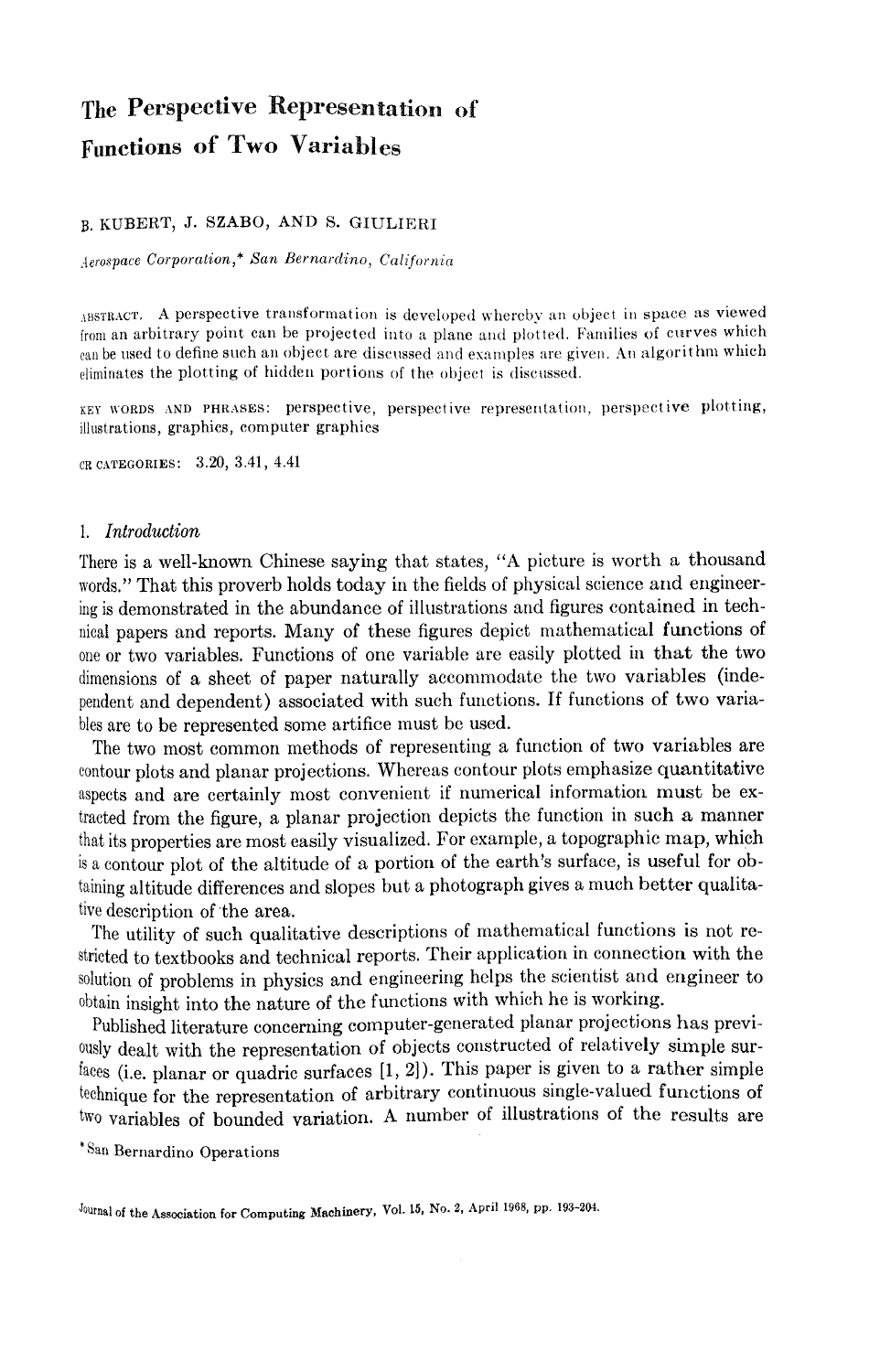# **The Perspective Representation of Functions of Two Variables**

### B. KUBERT, J. SZABO, AND S. GIULIERI

*Aerospace Corporation,\* San Bernardino, California* 

ABSTRACT. A perspective transformation is developed whereby an object in space as viewed from an arbitrary point can be projected into a plane and plotted. Families of curves which can be used to define such an object are discussed and examples are given. An algorithm which eliminates the plotting of hidden portions of the object is discussed.

KEY WORDS AND PHRASES: perspective, perspective representation, perspective plotting, illustrations, graphics, computer graphics

CRCATEGORIES: 3.20, 3.41, 4.41

#### *1. Introduction*

There is a well-known Chinese saying that states, "A picture is worth a thousand words." That this proverb holds today in the fields of physical science and engineering is demonstrated in the abundance of illustrations and figures contained in technical papers and reports. Many of these figures depict mathematical functions of one or two variables. Functions of one variable are easily plotted in that the two dimensions of a sheet of paper naturally accommodate the two variables (independent and dependent) associated with such functions. If functions of two variables are to be represented some artifice must be used.

The two most common methods of representing a function of two variables are contour plots and planar projections. Whereas contour plots emphasize quantitative aspects and are certainly most convenient if numerical information must be extracted from the figure, a planar projection depicts the function in such a manner that its properties are most easily visualized. For example, a topographic map, which is a contour plot of the altitude of a portion of the earth's surface, is useful for obtaining altitude differences and slopes but a photograph gives a much better qualitative description of the area.

The utility of such qualitative descriptions of mathematical functions is not restricted to textbooks and technical reports. Their application in connection with the solution of problems in physics and engineering helps the scientist and engineer to obtain insight into the nature of the functions with which he is working.

Published literature concerning computer-generated planar projections has previously dealt with the representation of objects constructed of relatively simple surfaces (i.e. planar or quadric surfaces [1, 2]). This paper is given to a rather simple technique for the representation of arbitrary continuous single-valued functions of two variables of bounded variation. A number of illustrations of the results are

\*San Bernardino Operations

<sup>&</sup>lt;sup>Journal</sup> of the Association for Computing Machinery, Vol. 15, No. 2, April 1968, pp. 193-204.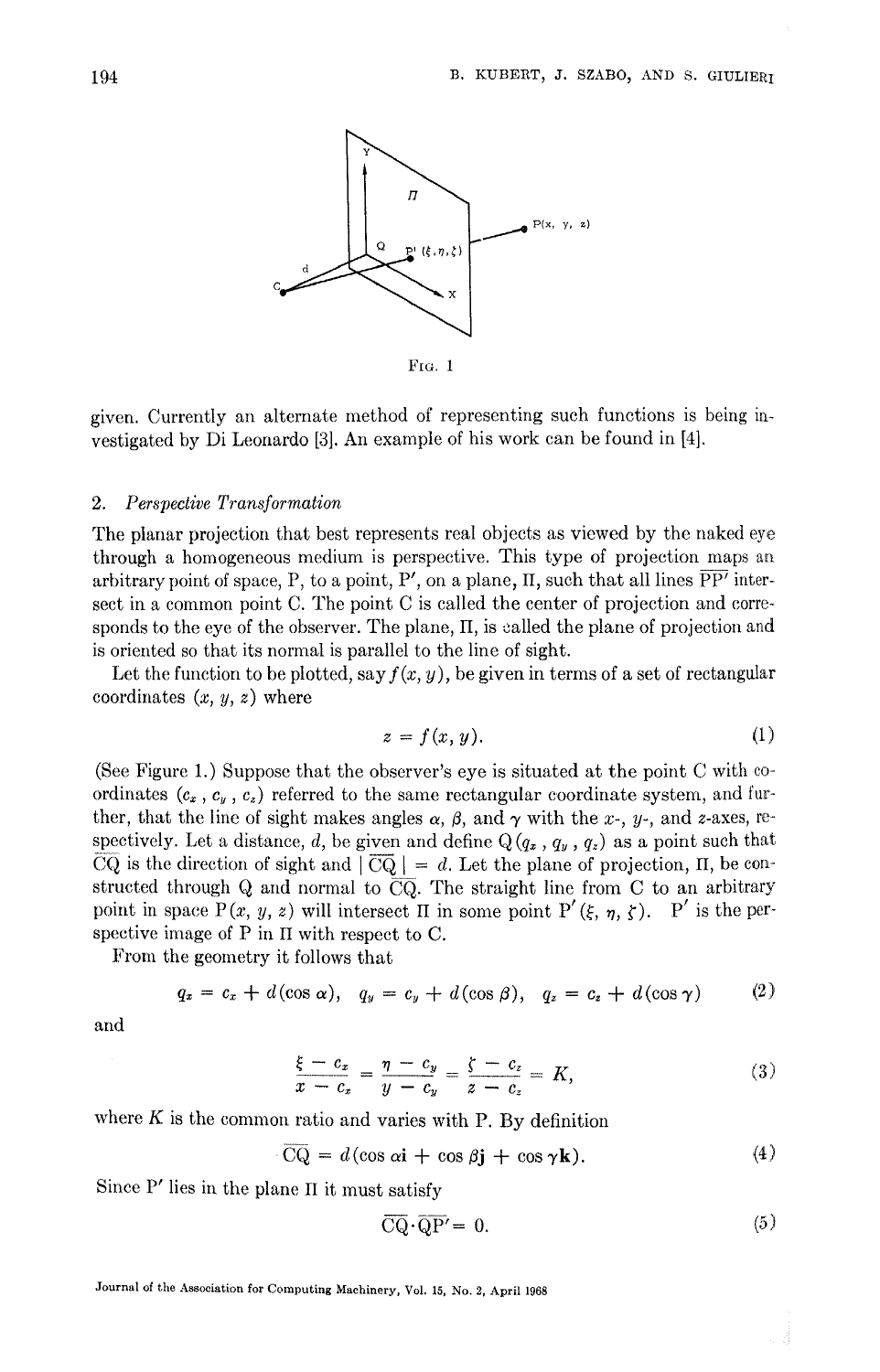

FIG. 1

given. Currently an alternate method of representing such functions is being iavestigated by Di Leonardo [3]. An example of his work can be found in [4].

#### *2. Perspective Transformation*

The planar projection that best represents real objects as viewed by the naked eye through a homogeneous medium is perspective. This type of projection maps aa arbitrary point of space, P, to a point, P', on a plane, II, such that all lines  $\overline{PP'}$  intersect in a common point C. The point C is called the center of projection and corresponds to the eye of the observer. The plane, II, is called the plane of projection and is oriented so that its normal is parallel to the line of sight.

Let the function to be plotted, say  $f(x, y)$ , be given in terms of a set of rectangular coordinates  $(x, y, z)$  where

$$
z = f(x, y). \tag{1}
$$

(See Figure 1.) Suppose that the observer's eye is situated at the point C with coordinates  $(c_x, c_y, c_z)$  referred to the same rectangular coordinate system, and further, that the line of sight makes angles  $\alpha$ ,  $\beta$ , and  $\gamma$  with the x-, y-, and z-axes, respectively. Let a distance, d, be given and define  $Q(q_x, q_y, q_z)$  as a point such that CQ is the direction of sight and  $|\overline{CQ}| = d$ . Let the plane of projection, II, be constructed through Q and normal to  $\overline{CQ}$ . The straight line from C to an arbitrary point in space P(x, y, z) will intersect H in some point P'( $\xi$ ,  $\eta$ ,  $\zeta$ ). P' is the perspective image of P in II with respect to C.

From the geometry it follows that

$$
q_x = c_x + d(\cos \alpha), \quad q_y = c_y + d(\cos \beta), \quad q_z = c_z + d(\cos \gamma) \tag{2}
$$

and

$$
\frac{\xi - c_x}{x - c_x} = \frac{\eta - c_y}{y - c_y} = \frac{\zeta - c_z}{z - c_z} = K,\tag{3}
$$

where  $K$  is the common ratio and varies with P. By definition

$$
CQ = d(\cos \alpha \mathbf{i} + \cos \beta \mathbf{j} + \cos \gamma \mathbf{k}). \tag{4}
$$

Since P' lies in the plane II it must satisfy

$$
\overline{CQ} \cdot \overline{QP'} = 0. \tag{5}
$$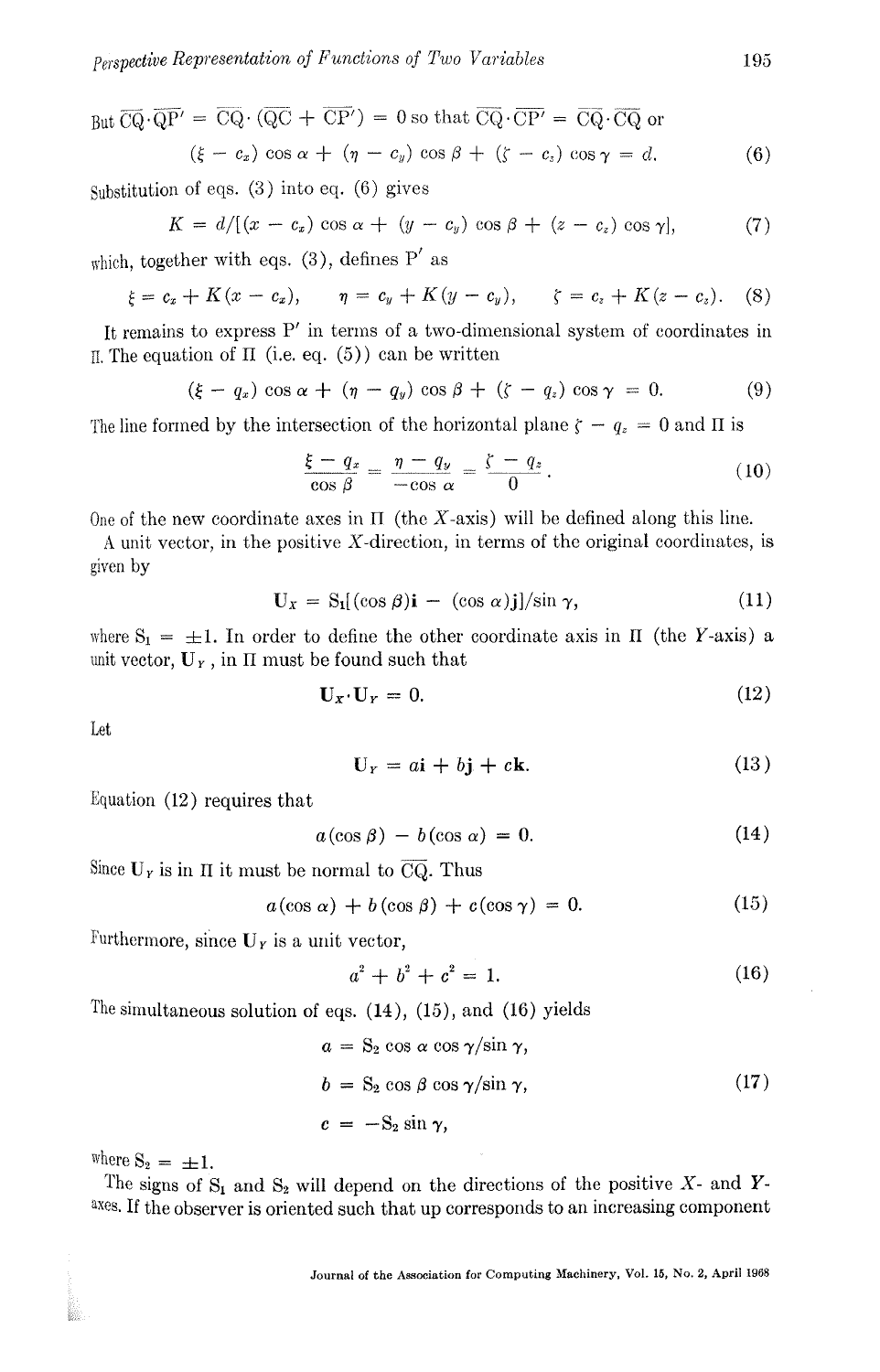But 
$$
\overline{CQ} \cdot \overline{QP'} = \overline{CQ} \cdot (\overline{QC} + \overline{CP'}) = 0
$$
 so that  $\overline{CQ} \cdot \overline{CP'} = \overline{CQ} \cdot \overline{CQ}$  or  
\n $(\xi - c_x) \cos \alpha + (\eta - c_y) \cos \beta + (\zeta - c_z) \cos \gamma = d.$  (6)

Substitution of eqs. (3) into eq. (6) gives

$$
K = d / [(x - c_x) \cos \alpha + (y - c_y) \cos \beta + (z - c_z) \cos \gamma],
$$
 (7)

which, together with eqs.  $(3)$ , defines P' as

$$
\xi = c_x + K(x - c_x), \quad \eta = c_y + K(y - c_y), \quad \zeta = c_z + K(z - c_z).
$$
 (8)

It remains to express P' in terms of a two-dimensional system of coordinates in  $\text{II}$ . The equation of  $\text{II}$  (i.e. eq. (5)) can be written

$$
(\xi - q_x) \cos \alpha + (\eta - q_y) \cos \beta + (\zeta - q_z) \cos \gamma = 0. \tag{9}
$$

The line formed by the intersection of the horizontal plane  $\zeta - q_z = 0$  and II is

$$
\frac{\xi - q_x}{\cos \beta} = \frac{\eta - q_y}{-\cos \alpha} = \frac{\zeta - q_z}{0}.
$$
 (10)

One of the new coordinate axes in  $\Pi$  (the X-axis) will be defined along this line.

A unit vector, in the positive X-direction, in terms of the original coordinates, is given by

$$
\mathbf{U}_x = \mathbf{S}_1[(\cos \beta)\mathbf{i} - (\cos \alpha)\mathbf{j}]/\sin \gamma, \tag{11}
$$

where  $S_1 = \pm 1$ . In order to define the other coordinate axis in II (the Y-axis) a unit vector,  $\mathbf{U}_r$ , in  $\Pi$  must be found such that

$$
\mathbf{U}_x \cdot \mathbf{U}_y = 0. \tag{12}
$$

Let

$$
\mathbf{U}_Y = a\mathbf{i} + b\mathbf{j} + c\mathbf{k}.\tag{13}
$$

Equation (12) requires that

$$
a(\cos \beta) - b(\cos \alpha) = 0. \tag{14}
$$

Since  $U<sub>r</sub>$  is in II it must be normal to  $CQ$ . Thus

$$
a(\cos \alpha) + b(\cos \beta) + c(\cos \gamma) = 0. \tag{15}
$$

Furthermore, since  $U_Y$  is a unit vector,

$$
a^2 + b^2 + c^2 = 1. \tag{16}
$$

The simultaneous solution of eqs.  $(14)$ ,  $(15)$ , and  $(16)$  yields

$$
a = S_2 \cos \alpha \cos \gamma / \sin \gamma,
$$
  
\n
$$
b = S_2 \cos \beta \cos \gamma / \sin \gamma,
$$
  
\n
$$
c = -S_2 \sin \gamma,
$$
\n(17)

where  $S_2 = \pm 1$ .

b.

The signs of  $S_1$  and  $S_2$  will depend on the directions of the positive X- and Yaxes. If the observer is oriented such that up corresponds to an increasing component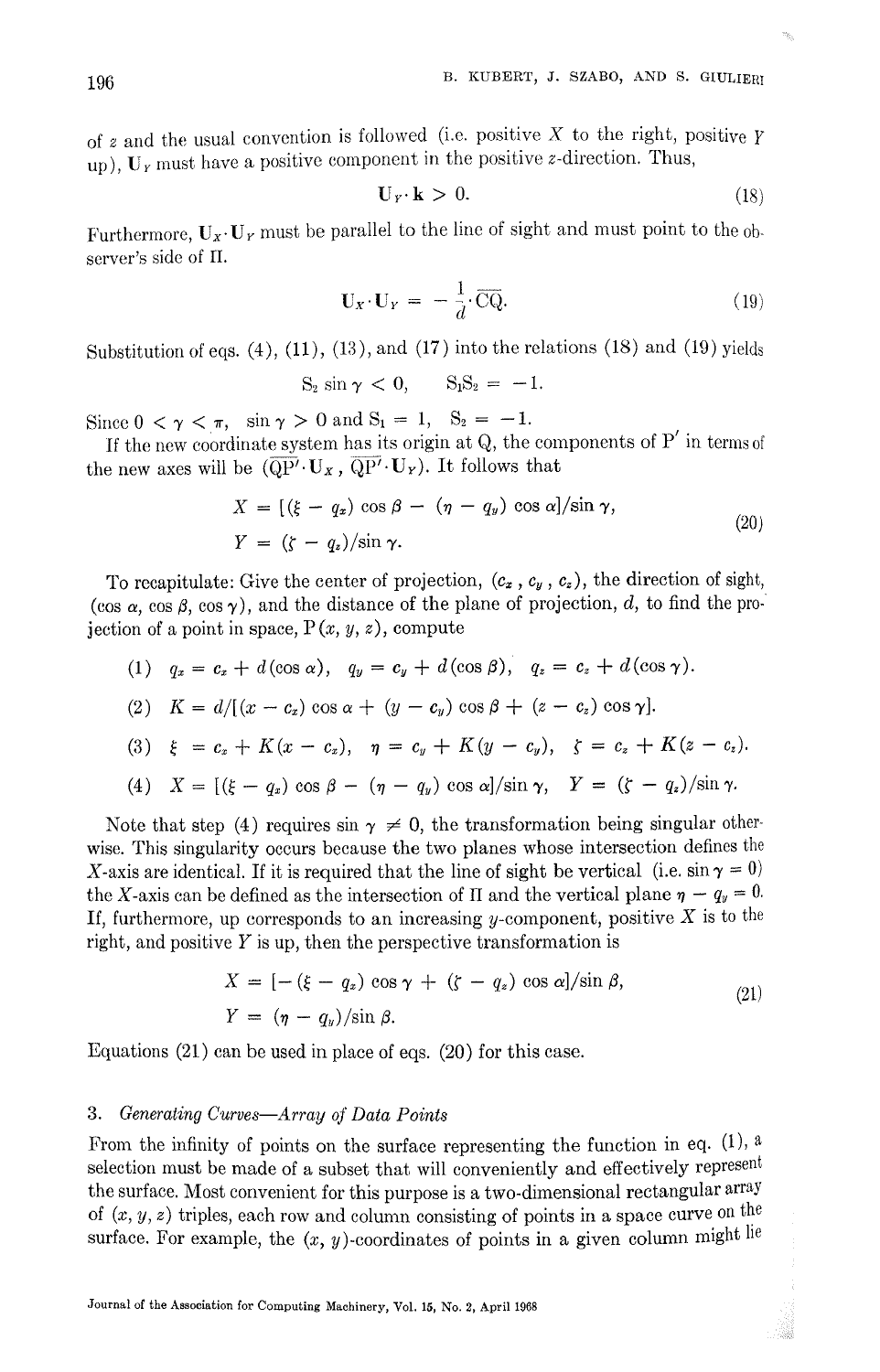of z and the usual convention is followed (i.e. positive X to the right, positive  $\gamma$ up),  $U_Y$  must have a positive component in the positive z-direction. Thus,

$$
\mathbf{U}_Y \cdot \mathbf{k} > 0. \tag{18}
$$

Furthermore,  $U_x \cdot U_y$  must be parallel to the line of sight and must point to the observer's side of II.

$$
\mathbf{U}_X \cdot \mathbf{U}_Y = -\frac{1}{d} \cdot \overline{\mathbf{CQ}}.\tag{19}
$$

Substitution of eqs.  $(4)$ ,  $(11)$ ,  $(13)$ , and  $(17)$  into the relations  $(18)$  and  $(19)$  yields

$$
S_2 \sin \gamma < 0, \qquad S_1 S_2 = -1.
$$

Since  $0 < \gamma < \pi$ , sin  $\gamma > 0$  and  $S_1 = 1$ ,  $S_2 = -1$ .

If the new coordinate system has its origin at  $Q$ , the components of  $P'$  in terms of the new axes will be  $(\overline{QP'} \cdot U_x, \overline{QP'} \cdot U_y)$ . It follows that

$$
X = \left[ (\xi - q_x) \cos \beta - (\eta - q_y) \cos \alpha \right] / \sin \gamma, Y = \left( \zeta - q_x \right) / \sin \gamma.
$$
 (20)

To recapitulate: Give the center of projection,  $(c_x, c_y, c_z)$ , the direction of sight, (cos  $\alpha$ , cos  $\beta$ , cos  $\gamma$ ), and the distance of the plane of projection, d, to find the projection of a point in space,  $P(x, y, z)$ , compute

(1) 
$$
q_x = c_x + d(\cos \alpha)
$$
,  $q_y = c_y + d(\cos \beta)$ ,  $q_z = c_z + d(\cos \gamma)$ .

(2) 
$$
K = d/[(x - c_x) \cos \alpha + (y - c_y) \cos \beta + (z - c_z) \cos \gamma].
$$

(3) 
$$
\xi = c_z + K(x - c_z), \quad \eta = c_y + K(y - c_y), \quad \zeta = c_z + K(z - c_z).
$$

(4)  $X = \left[\frac{k-a_x}{\cos \beta - \left(\eta - q_y\right)\cos \alpha\right] / \sin \gamma, \quad Y = \frac{k-a_x}{\sin \gamma}.$ 

Note that step (4) requires  $\sin \gamma \neq 0$ , the transformation being singular otherwise. This singularity occurs because the two planes whose intersection defines the X-axis are identical. If it is required that the line of sight be vertical (i.e.  $\sin \gamma = 0$ ) the X-axis can be defined as the intersection of II and the vertical plane  $\eta - q_y = 0$ . If, furthermore, up corresponds to an increasing y-component, positive  $X$  is to the right, and positive  $Y$  is up, then the perspective transformation is

$$
X = [- (\xi - q_x) \cos \gamma + (\zeta - q_x) \cos \alpha]/\sin \beta,
$$
  
\n
$$
Y = (\eta - q_y)/\sin \beta.
$$
 (21)

Equations (21) can be used in place of eqs. (20) for this case.

#### *3. Generating Curves--Array of Data Points*

From the infinity of points on the surface representing the function in eq.  $(1)$ , a selection must be made of a subset that will conveniently and effectively represent the surface. Most convenient for this purpose is a two-dimensional rectangular array of  $(x, y, z)$  triples, each row and column consisting of points in a space curve on the surface. For example, the  $(x, y)$ -coordinates of points in a given column might lie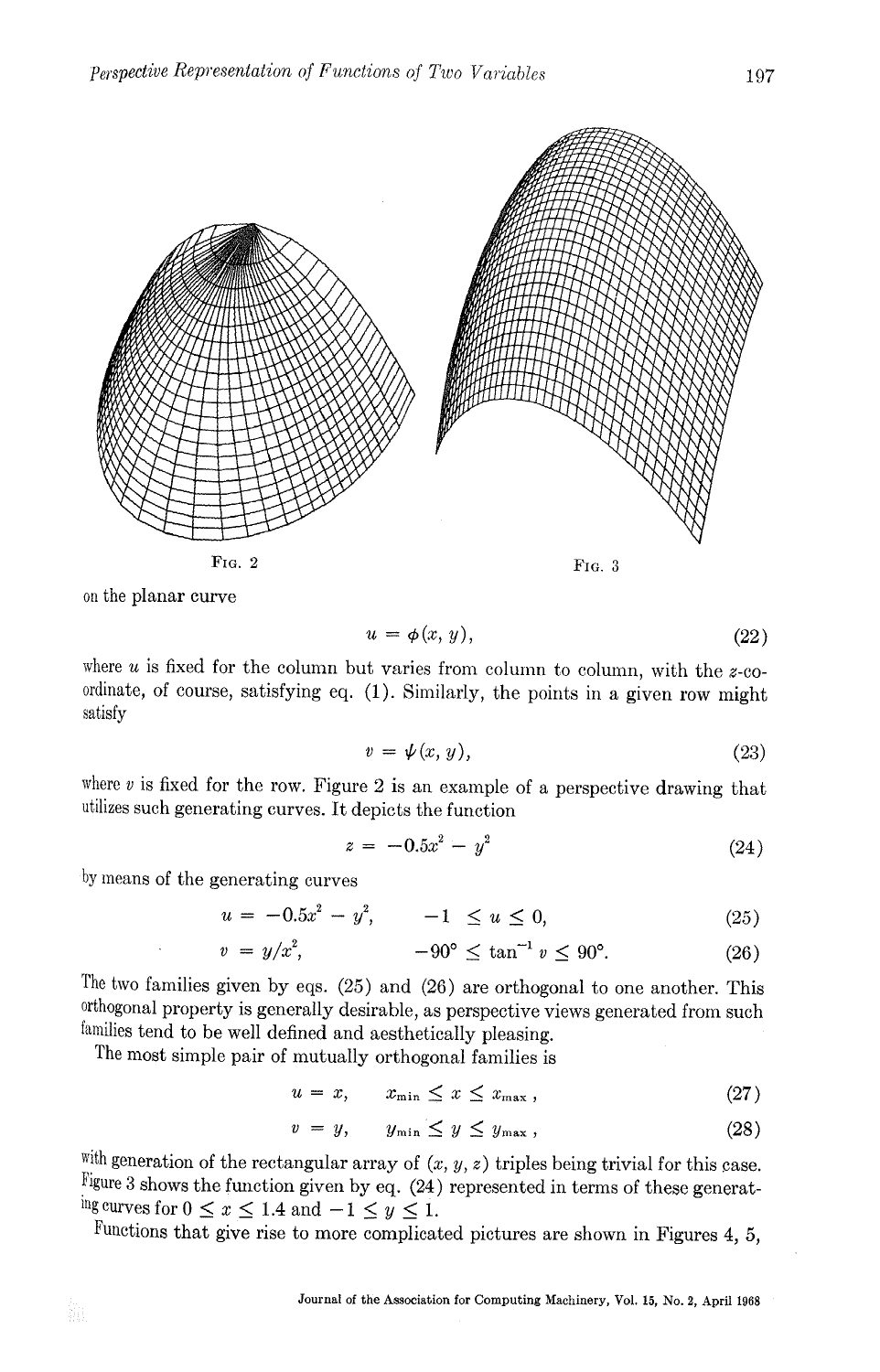

on the planar curve

$$
u = \phi(x, y), \tag{22}
$$

where  $u$  is fixed for the column but varies from column to column, with the  $z$ -coordinate, of course, satisfying eq. (1). Similarly, the points in a given row might satisfy

$$
v = \psi(x, y), \tag{23}
$$

where  $v$  is fixed for the row. Figure 2 is an example of a perspective drawing that utilizes such generating curves. It depicts the function

$$
z = -0.5x^2 - y^2 \tag{24}
$$

by means of the generating curves

$$
u = -0.5x^2 - y^2, \qquad -1 \le u \le 0,\tag{25}
$$

$$
v = y/x^2, \qquad -90^{\circ} \le \tan^{-1} v \le 90^{\circ}. \tag{26}
$$

The two families given by eqs. (25) and (26) are orthogonal to one another. This 0rthogonal property is generally desirable, as perspective views generated from such families tend to be well defined and aesthetically pleasing.

The most simple pair of mutually orthogonal families is

$$
u = x, \qquad x_{\min} \le x \le x_{\max}, \tag{27}
$$

$$
v = y, \qquad y_{\min} \le y \le y_{\max}, \tag{28}
$$

with generation of the rectangular array of  $(x, y, z)$  triples being trivial for this case. Figure 3 shows the function given by eq.  $(24)$  represented in terms of these generating curves for  $0 \le x \le 1.4$  and  $-1 \le y \le 1$ .

Functions that give rise to more complicated pictures are shown in Figures 4, 5,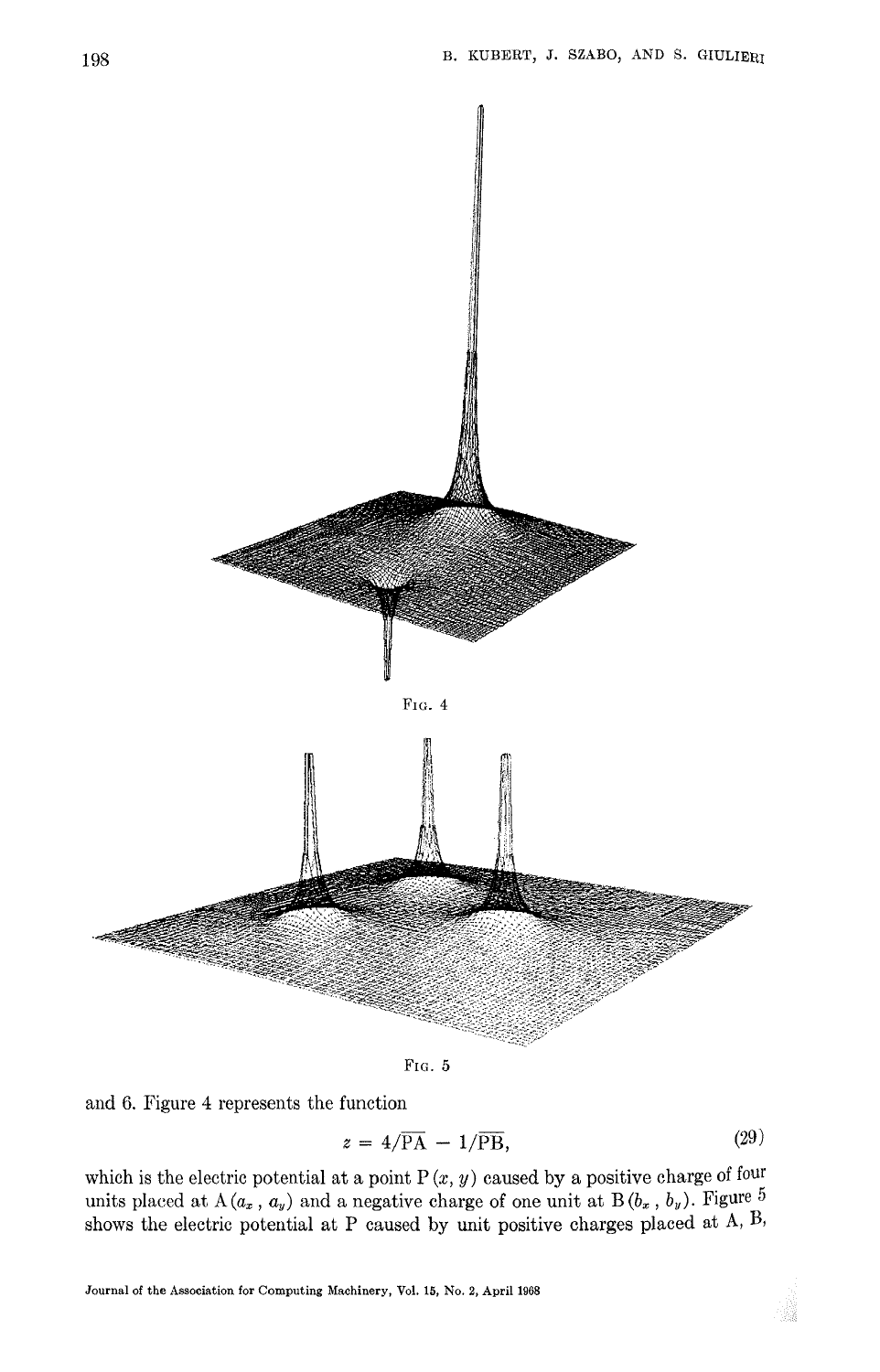

FIG. 5

and 6. Figure 4 represents the function

$$
z = 4/\overline{\text{PA}} - 1/\overline{\text{PB}},\tag{29}
$$

which is the electric potential at a point  $P(x, y)$  caused by a positive charge of four units placed at A $(a_x, a_y)$  and a negative charge of one unit at B $(b_x, b_y)$ . Figure 5 shows the electric potential at P caused by unit positive charges placed at A, B,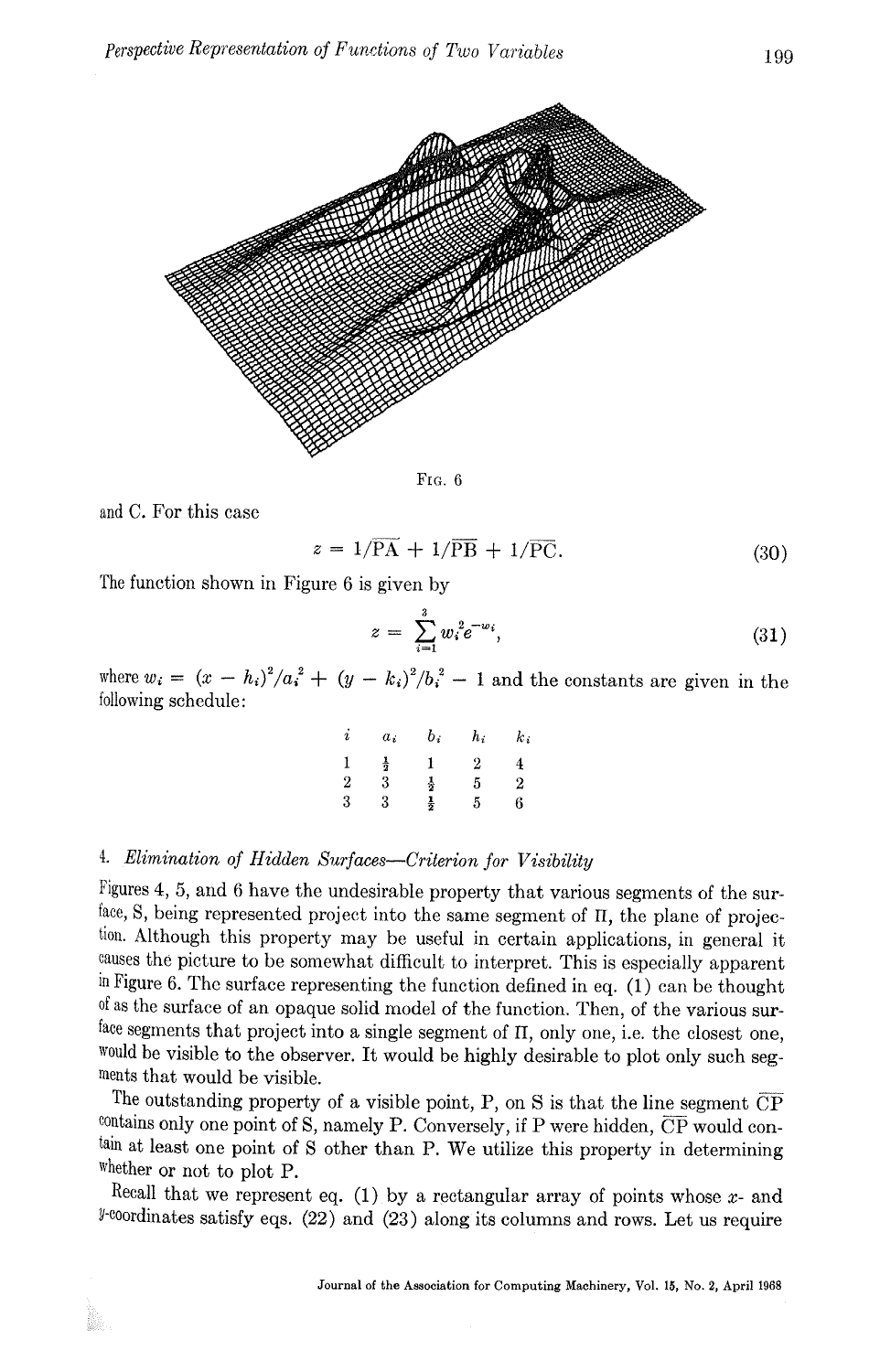

FIG. 6

and C. For this case

$$
z = 1/\overline{PA} + 1/\overline{PB} + 1/\overline{PC}.
$$
 (30)

The function shown in Figure 6 is given by

$$
z = \sum_{i=1}^{3} w_i^2 e^{-w_i}, \tag{31}
$$

where  $w_i = (x - h_i)^2/a_i^2 + (y - k_i)^2/b_i^2 - 1$  and the constants are given in the following schedule:

| i              | $a_i$         | b:            | $h_i$ | $k_{\it i}$      |
|----------------|---------------|---------------|-------|------------------|
| 1              | $\frac{1}{2}$ | ł             | 2     | 4                |
| $\overline{2}$ | 3             | $\frac{1}{2}$ | 5     | $\boldsymbol{2}$ |
| 3              | 3             | $\frac{1}{2}$ | 5     | 6                |

## *4. Elimination of Hidden Surfaces--Criterion for Visibility*

Figures 4, 5, and 6 have the undesirable property that various segments of the surface, S, being represented project into the same segment of  $\Pi$ , the plane of projection. Although this property may be useful in certain applications, in general it causes the picture to be somewhat difficult to interpret. This is especially apparent in Figure 6. The surface representing the function defined in eq. (1) can be thought of as the surface of an opaque solid model of the function. Then, of the various surface segments that project into a single segment of II, only one, i.e. the closest one, would be visible to the observer. It would be highly desirable to plot only such segments that would be visible.

The outstanding property of a visible point, P, on S is that the line segment  $\overline{CP}$ contains only one point of S, namely P. Conversely, if P were hidden,  $\overline{CP}$  would contain at least one point of S other than P. We utilize this property in determining whether or not to plot P.

Recall that we represent eq. (1) by a rectangular array of points whose  $x$ - and  $\ell$ -coordinates satisfy eqs. (22) and (23) along its columns and rows. Let us require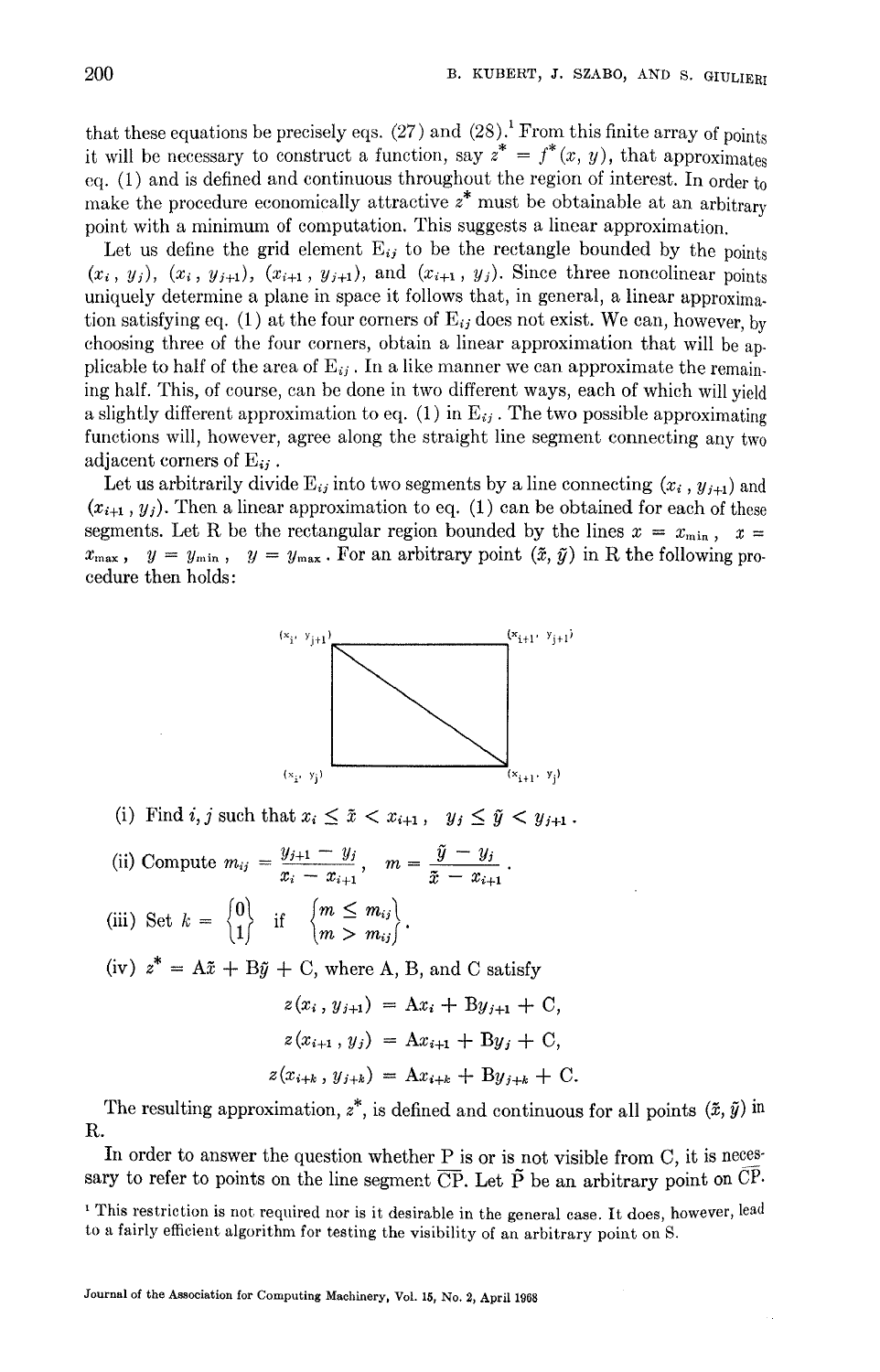that these equations be precisely eqs. (27) and (28). From this finite array of points it will be necessary to construct a function, say  $z^* = f^*(x, y)$ , that approximates eq. (1) and is defined and continuous throughout the region of interest. In order to make the procedure economically attractive  $z^*$  must be obtainable at an arbitrary point with a minimum of computation. This suggests a linear approximation.

Let us define the grid element  $E_{ij}$  to be the rectangle bounded by the points  $(x_i, y_j)$ ,  $(x_i, y_{j+1})$ ,  $(x_{i+1}, y_{j+1})$ , and  $(x_{i+1}, y_j)$ . Since three noncolinear points uniquely determine a plane in space it follows that, in general, a linear approximation satisfying eq. (1) at the four corners of  $E_{ij}$  does not exist. We can, however, by choosing three of the four corners, obtain a linear approximation that will be applicable to half of the area of  $E_{ij}$ . In a like manner we can approximate the remaining half. This, of course, can be done in two different ways, each of which will yield a slightly different approximation to eq. (1) in  $E_{ij}$ . The two possible approximating functions will, however, agree along the straight line segment connecting any two adjacent corners of  $E_{ii}$ .

Let us arbitrarily divide  $E_{ij}$  into two segments by a line connecting  $(x_i, y_{i+1})$  and  $(x_{i+1}, y_i)$ . Then a linear approximation to eq. (1) can be obtained for each of these segments. Let R be the rectangular region bounded by the lines  $x = x_{\min}$ ,  $x =$  $x_{\text{max}}$ ,  $y = y_{\text{min}}$ ,  $y = y_{\text{max}}$ . For an arbitrary point  $(\tilde{x}, \tilde{y})$  in R the following procedure then holds:



(i) Find i, j such that  $x_i \leq \tilde{x} < x_{i+1}$ ,  $y_j \leq \tilde{y} < y_{j+1}$ .

(ii) Compute 
$$
m_{ij} = \frac{y_{j+1} - y_j}{x_i - x_{i+1}}, \quad m = \frac{\tilde{y} - y_j}{\tilde{x} - x_{i+1}}.
$$

(iii) Set  $k = \begin{Bmatrix} 0 \\ 1 \end{Bmatrix}$  if  $\begin{Bmatrix} m \leq m_{ij} \\ m > m_{ij} \end{Bmatrix}$ .

(iv)  $z^* = A\tilde{x} + B\tilde{y} + C$ , where A, B, and C satisfy

$$
z(x_i, y_{j+1}) = Ax_i + By_{j+1} + C,
$$
  
\n
$$
z(x_{i+1}, y_j) = Ax_{i+1} + By_j + C,
$$
  
\n
$$
z(x_{i+k}, y_{j+k}) = Ax_{i+k} + By_{j+k} + C.
$$

The resulting approximation,  $z^*$ , is defined and continuous for all points  $(\tilde{x}, \tilde{y})$  in **R.** 

In order to answer the question whether P is or is not visible from C, it is necessary to refer to points on the line segment  $\overline{\text{CP}}$ . Let  $\tilde{P}$  be an arbitrary point on  $\overline{\text{CP}}$ .

<sup>&</sup>lt;sup>1</sup> This restriction is not required nor is it desirable in the general case. It does, however, lead to a fairly efficient algorithm for testing the visibility of an arbitrary point on S.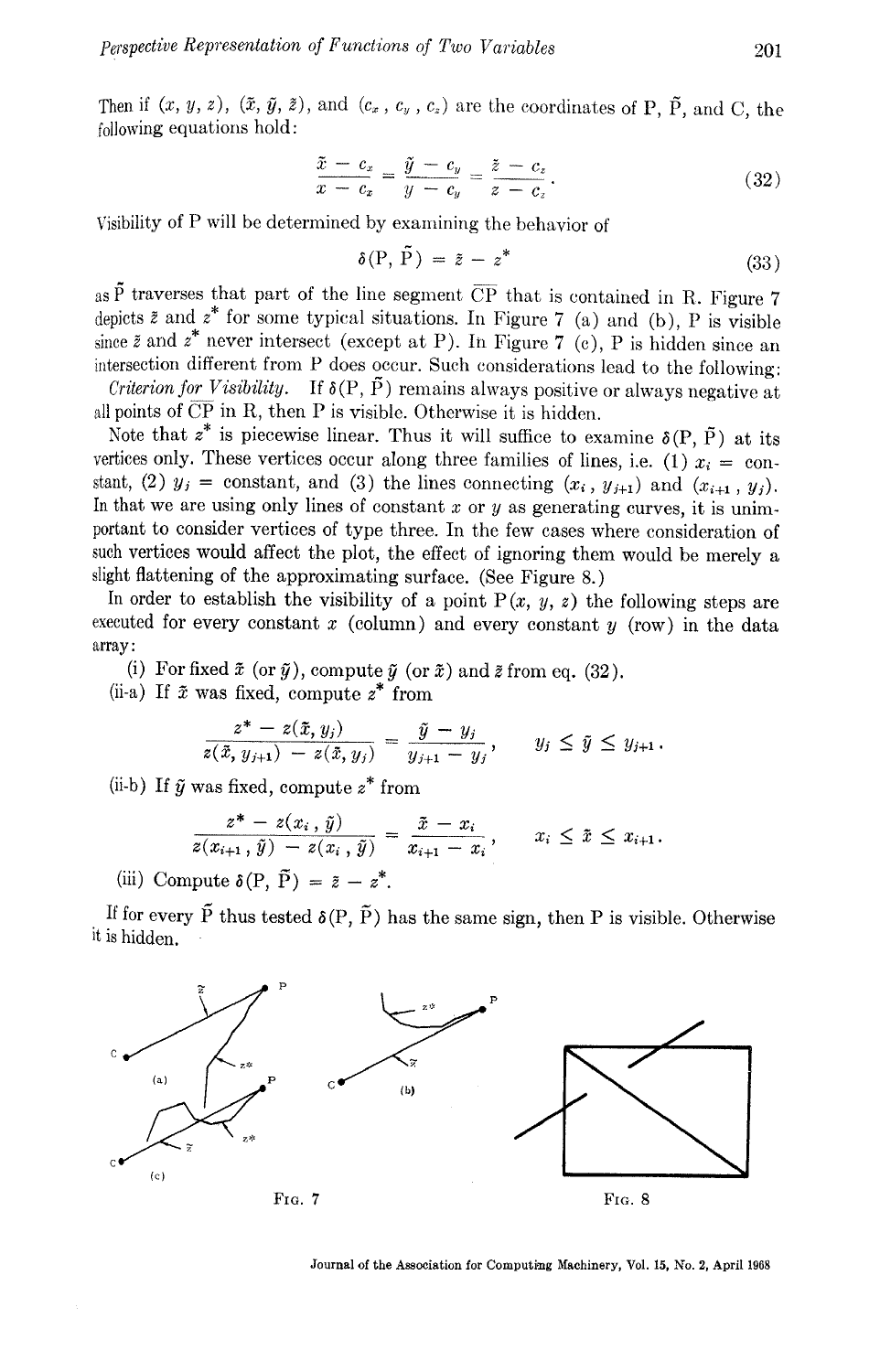Then if  $(x, y, z)$ ,  $(\tilde{x}, \tilde{y}, \tilde{z})$ , and  $(c_x, c_y, c_z)$  are the coordinates of P,  $\tilde{P}$ , and C, the following equations hold:

$$
\frac{\tilde{x} - c_x}{x - c_x} = \frac{\tilde{y} - c_y}{y - c_y} = \frac{\tilde{z} - c_z}{z - c_z}.
$$
\n(32)

Visibility of P will be determined by examining the behavior of

$$
\delta(\mathbf{P}, \, \mathbf{P}) = \tilde{z} - z^* \tag{33}
$$

as  $\tilde{P}$  traverses that part of the line segment  $\overline{CP}$  that is contained in R. Figure 7 depicts  $\tilde{z}$  and  $z^*$  for some typical situations. In Figure 7 (a) and (b), P is visible since  $\tilde{z}$  and  $z^*$  never intersect (except at P). In Figure 7 (c), P is hidden since an intersection different from P does occur. Such considerations lead to the following: *Criterion for Visibility.* If  $\delta(P, \tilde{P})$  remains always positive or always negative at

all points of  $\overline{CP}$  in R, then P is visible. Otherwise it is hidden.

Note that  $z^*$  is piecewise linear. Thus it will suffice to examine  $\delta(P, \tilde{P})$  at its vertices only. These vertices occur along three families of lines, i.e. (1)  $x_i = \text{con-}$ stant, (2)  $y_j = \text{constant}$ , and (3) the lines connecting  $(x_i, y_{j+1})$  and  $(x_{i+1}, y_j)$ . In that we are using only lines of constant  $x$  or  $y$  as generating curves, it is unimportant to consider vertices of type three. In the few cases where consideration of such vertices would affect the plot, the effect of ignoring them would be merely a slight flattening of the approximating surface. (See Figure 8.)

In order to establish the visibility of a point  $P(x, y, z)$  the following steps are executed for every constant  $x$  (column) and every constant  $y$  (row) in the data array:

(i) For fixed  $\tilde{x}$  (or  $\tilde{y}$ ), compute  $\tilde{y}$  (or  $\tilde{x}$ ) and  $\tilde{z}$  from eq. (32). (ii-a) If  $\tilde{x}$  was fixed, compute  $z^*$  from

$$
\frac{z^* - z(\bar{x}, y_j)}{z(\bar{x}, y_{j+1}) - z(\bar{x}, y_j)} = \frac{\tilde{y} - y_j}{y_{j+1} - y_j}, \qquad y_j \leq \tilde{y} \leq y_{j+1}.
$$

(ii-b) If  $\tilde{y}$  was fixed, compute  $z^*$  from

$$
\frac{z^* - z(x_i, \tilde{y})}{z(x_{i+1}, \tilde{y}) - z(x_i, \tilde{y})} = \frac{\tilde{x} - x_i}{x_{i+1} - x_i}, \qquad x_i \leq \tilde{x} \leq x_{i+1}.
$$

(iii) Compute  $\delta(P, \tilde{P}) = \tilde{z} - z^*$ .

If for every  $\tilde{P}$  thus tested  $\delta(P, \tilde{P})$  has the same sign, then P is visible. Otherwise it is hidden.



Journal of the Association for Computing Machinery, Vol. 15, No. 2, April 1968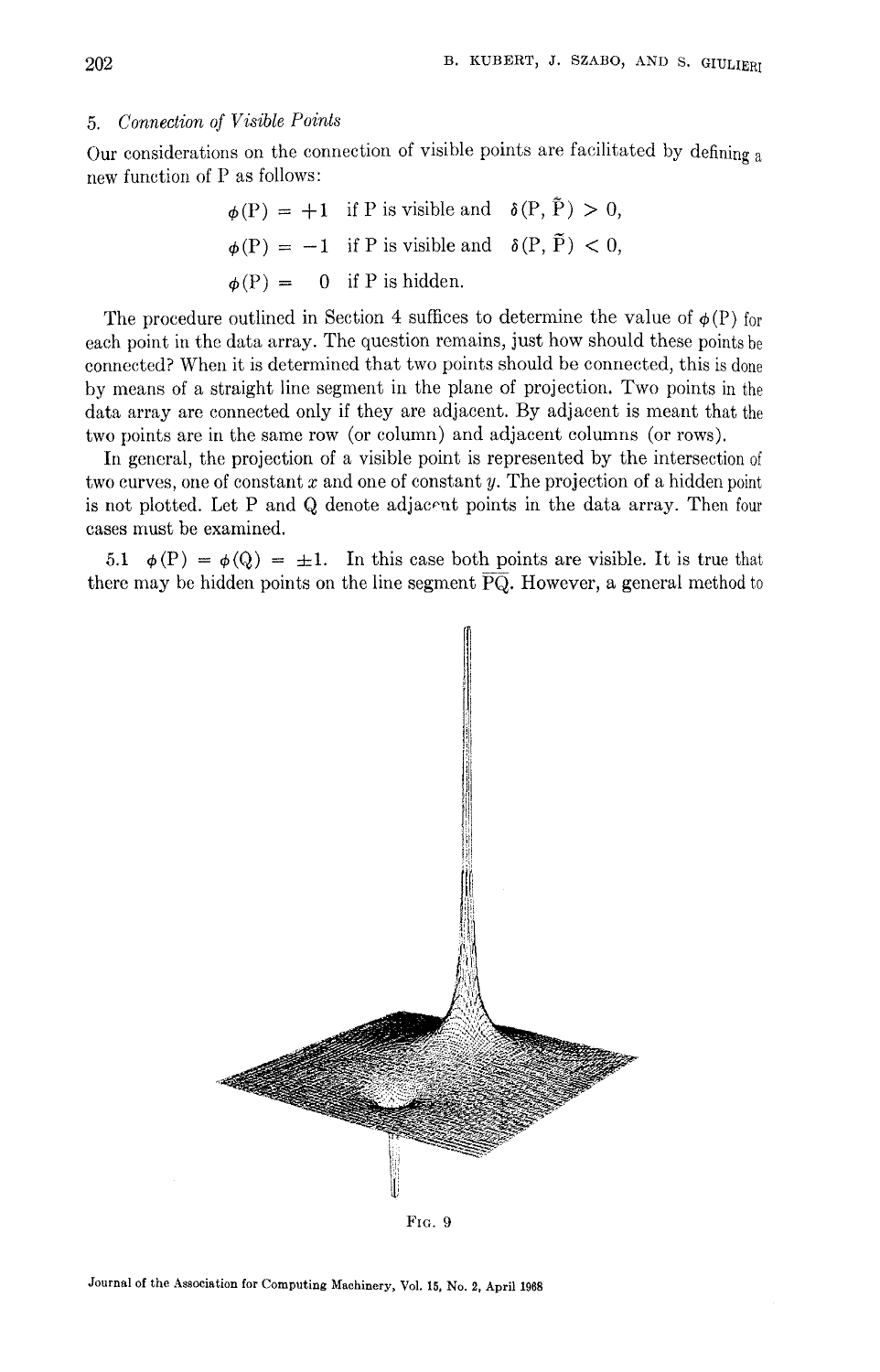#### *5. Connection of Visible Points*

Our considerations on the connection of visible points are facilitated by defining a new function of P as follows:

$$
\phi(P) = +1
$$
 if P is visible and  $\delta(P, \tilde{P}) > 0$ ,  $\phi(P) = -1$  if P is visible and  $\delta(P, \tilde{P}) < 0$ ,  $\phi(P) = 0$  if P is hidden.

The procedure outlined in Section 4 suffices to determine the value of  $\phi(P)$  for each point in the data array. The question remains, just how should these points be connected? When it is determined that two points should be connected, this is done by means of a straight line segment in the plane of projection. Two points in the data array are connected only if they are adjacent. By adjacent is meant that the two points are in the same row (or column) and adjacent columns (or rows).

In general, the projection of a visible point is represented by the intersection of two curves, one of constant  $x$  and one of constant  $y$ . The projection of a hidden point is not plotted. Let P and Q denote adjaeont points in the data array. Then four cases must be examined.

5.1  $\phi(P) = \phi(Q) = \pm 1$ . In this case both points are visible. It is true that there may be hidden points on the line segment  $\overline{PQ}$ . However, a general method to

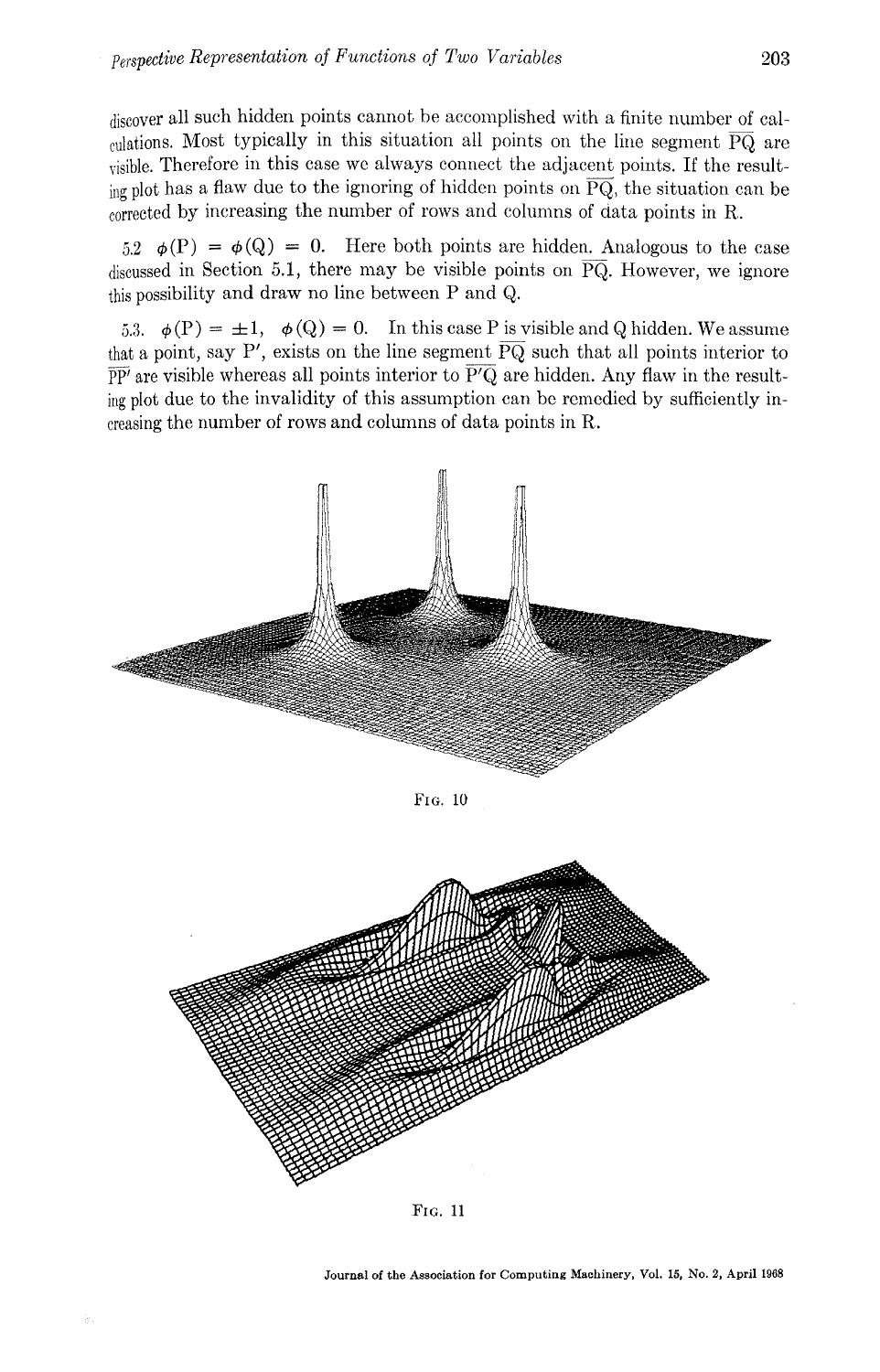discover all such hidden points cannot be accomplished with a finite number of calculations. Most typically in this situation all points on the line segment  $\overline{PQ}$  are visible. Therefore in this ease we always connect the adjacent points. If the resulting plot has a flaw due to the ignoring of hidden points on  $\overline{PQ}$ , the situation can be corrected by increasing the number of rows and columns of data points in R.

 $5.2 \quad \phi(P) = \phi(Q) = 0$ . Here both points are hidden. Analogous to the case discussed in Section 5.1, there may be visible points on  $\overline{PQ}$ . However, we ignore this possibility and draw no line between P and Q.

5.3.  $\phi(P) = \pm 1$ ,  $\phi(Q) = 0$ . In this case P is visible and Q hidden. We assume that a point, say P', exists on the line segment  $\overline{PQ}$  such that all points interior to  $\overline{PP'}$  are visible whereas all points interior to  $\overline{P'Q}$  are hidden. Any flaw in the resulting plot due to the invalidity of this assumption can be remedied by sufficiently increasing the number of rows and cohunns of data points in R.







Journal **of the** Association for Computing Machinery, Vol. 15, No. 2, April 1968